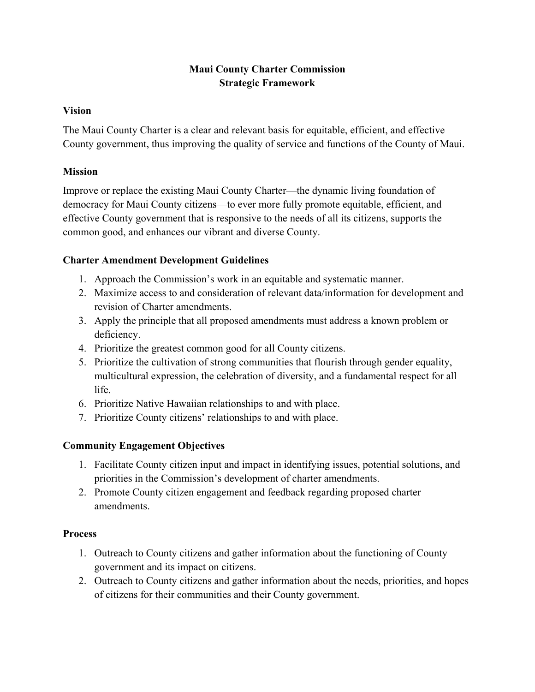# **Maui County Charter Commission Strategic Framework**

#### **Vision**

The Maui County Charter is a clear and relevant basis for equitable, efficient, and effective County government, thus improving the quality of service and functions of the County of Maui.

### **Mission**

Improve or replace the existing Maui County Charter—the dynamic living foundation of democracy for Maui County citizens—to ever more fully promote equitable, efficient, and effective County government that is responsive to the needs of all its citizens, supports the common good, and enhances our vibrant and diverse County.

# **Charter Amendment Development Guidelines**

- 1. Approach the Commission's work in an equitable and systematic manner.
- 2. Maximize access to and consideration of relevant data/information for development and revision of Charter amendments.
- 3. Apply the principle that all proposed amendments must address a known problem or deficiency.
- 4. Prioritize the greatest common good for all County citizens.
- 5. Prioritize the cultivation of strong communities that flourish through gender equality, multicultural expression, the celebration of diversity, and a fundamental respect for all life.
- 6. Prioritize Native Hawaiian relationships to and with place.
- 7. Prioritize County citizens' relationships to and with place.

# **Community Engagement Objectives**

- 1. Facilitate County citizen input and impact in identifying issues, potential solutions, and priorities in the Commission's development of charter amendments.
- 2. Promote County citizen engagement and feedback regarding proposed charter amendments.

#### **Process**

- 1. Outreach to County citizens and gather information about the functioning of County government and its impact on citizens.
- 2. Outreach to County citizens and gather information about the needs, priorities, and hopes of citizens for their communities and their County government.